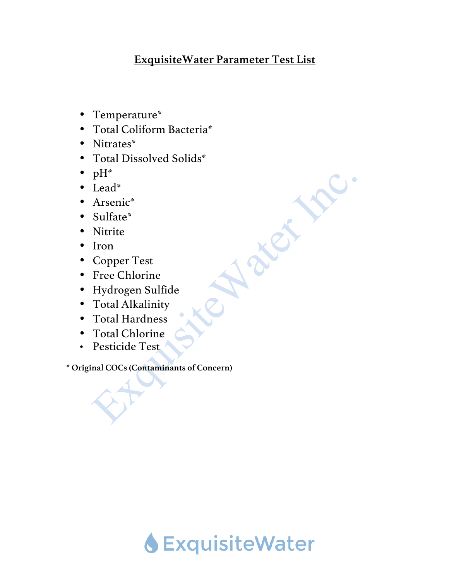## **ExquisiteWater Parameter Test List**

**Ker** 

- Temperature\*
- Total Coliform Bacteria\*
- Nitrates\*
- Total Dissolved Solids\*
- $pH^*$
- Lead\*
- Arsenic\*
- Sulfate\*
- Nitrite
- Iron
- Copper Test
- Free Chlorine
- Hydrogen Sulfide
- Total Alkalinity
- Total Hardness
- Total Chlorine
- Pesticide Test

**\* Original COCs (Contaminants of Concern)**

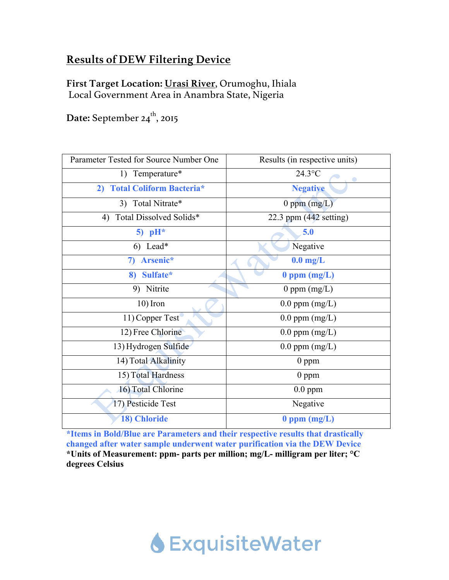# **Results of DEW Filtering Device**

**First Target Location: Urasi River**, Orumoghu, Ihiala Local Government Area in Anambra State, Nigeria

Date: September 24<sup>th</sup>, 2015

| Parameter Tested for Source Number One | Results (in respective units)    |
|----------------------------------------|----------------------------------|
| 1) Temperature*                        | $24.3$ °C                        |
| 2) Total Coliform Bacteria*            | <b>Negative</b>                  |
| 3) Total Nitrate*                      | $0$ ppm $(mg/L)$                 |
| Total Dissolved Solids*<br>4)          | 22.3 ppm $(442 \text{ setting})$ |
| 5) $pH^*$                              | 5.0                              |
| 6) Lead*                               | Negative                         |
| Arsenic*<br>7)                         | $0.0$ mg/L                       |
| 8) Sulfate*                            | $0$ ppm $(mg/L)$                 |
| 9) Nitrite                             | 0 ppm $(mg/L)$                   |
| $10$ ) Iron                            | $0.0$ ppm $(mg/L)$               |
| 11) Copper Test                        | $0.0$ ppm $(mg/L)$               |
| 12) Free Chlorine                      | $0.0$ ppm $(mg/L)$               |
| 13) Hydrogen Sulfide                   | $0.0$ ppm $(mg/L)$               |
| 14) Total Alkalinity                   | $0$ ppm                          |
| 15) Total Hardness                     | $0$ ppm                          |
| 16) Total Chlorine                     | $0.0$ ppm                        |
| 17) Pesticide Test                     | Negative                         |
| 18) Chloride                           | $0$ ppm $(mg/L)$                 |

**\*Items in Bold/Blue are Parameters and their respective results that drastically changed after water sample underwent water purification via the DEW Device \*Units of Measurement: ppm- parts per million; mg/L- milligram per liter; °C degrees Celsius** 

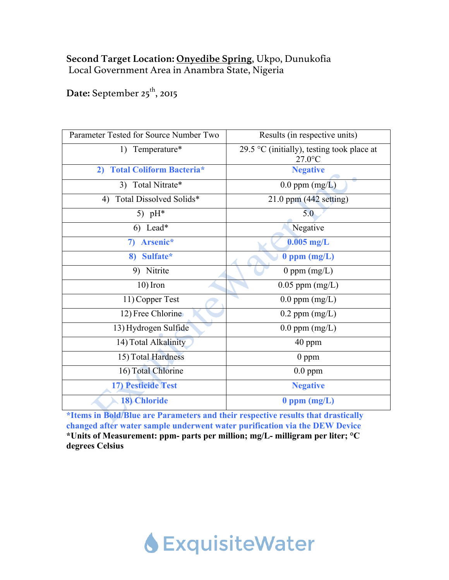### **Second Target Location: Onyedibe Spring**, Ukpo, Dunukofia Local Government Area in Anambra State, Nigeria

Date: September 25<sup>th</sup>, 2015

| Parameter Tested for Source Number Two | Results (in respective units)                           |
|----------------------------------------|---------------------------------------------------------|
| 1) Temperature*                        | 29.5 °C (initially), testing took place at<br>$27.0$ °C |
| <b>Total Coliform Bacteria*</b><br>2)  | <b>Negative</b>                                         |
| 3) Total Nitrate*                      | $0.0$ ppm $(mg/L)$                                      |
| Total Dissolved Solids*<br>4)          | $21.0$ ppm (442 setting)                                |
| 5) $pH^*$                              | 5.0                                                     |
| 6) Lead*                               | Negative                                                |
| Arsenic*<br>7)                         | $0.005$ mg/L                                            |
| 8) Sulfate*                            | $0$ ppm $(mg/L)$                                        |
| 9) Nitrite                             | 0 ppm $(mg/L)$                                          |
| $10$ ) Iron                            | $0.05$ ppm $(mg/L)$                                     |
| 11) Copper Test                        | $0.0$ ppm $(mg/L)$                                      |
| 12) Free Chlorine                      | $0.2$ ppm $(mg/L)$                                      |
| 13) Hydrogen Sulfide                   | $0.0$ ppm $(mg/L)$                                      |
| 14) Total Alkalinity                   | 40 ppm                                                  |
| 15) Total Hardness                     | $0$ ppm                                                 |
| 16) Total Chlorine                     | $0.0$ ppm                                               |
| <b>17) Pesticide Test</b>              | <b>Negative</b>                                         |
| <b>18) Chloride</b>                    | $0$ ppm $(mg/L)$                                        |

**\*Items in Bold/Blue are Parameters and their respective results that drastically changed after water sample underwent water purification via the DEW Device \*Units of Measurement: ppm- parts per million; mg/L- milligram per liter; °C degrees Celsius** 

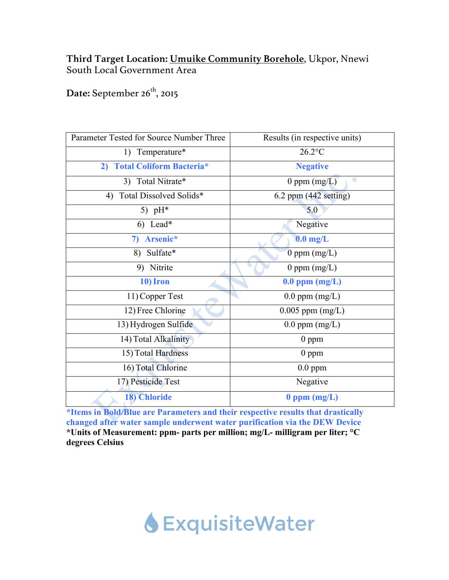### **Third Target Location: Umuike Community Borehole**, Ukpor, Nnewi South Local Government Area

Date: September 26<sup>th</sup>, 2015

| Parameter Tested for Source Number Three | Results (in respective units) |
|------------------------------------------|-------------------------------|
| 1) Temperature*                          | $26.2$ °C                     |
| 2) Total Coliform Bacteria*              | <b>Negative</b>               |
| 3) Total Nitrate*                        | 0 ppm $(mg/L)$                |
| 4) Total Dissolved Solids*               | $6.2$ ppm $(442$ setting)     |
| 5) $pH^*$                                | 5.0                           |
| 6) Lead*                                 | Negative                      |
| 7) Arsenic*                              | $0.0$ mg/L                    |
| 8) Sulfate*                              | 0 ppm $(mg/L)$                |
| 9) Nitrite                               | 0 ppm $(mg/L)$                |
| 10) Iron                                 | $0.0$ ppm $(mg/L)$            |
| 11) Copper Test                          | $0.0$ ppm $(mg/L)$            |
| 12) Free Chlorine                        | $0.005$ ppm $(mg/L)$          |
| 13) Hydrogen Sulfide                     | $0.0$ ppm $(mg/L)$            |
| 14) Total Alkalinity                     | $0$ ppm                       |
| 15) Total Hardness                       | $0$ ppm                       |
| 16) Total Chlorine                       | $0.0$ ppm                     |
| 17) Pesticide Test                       | Negative                      |
| <b>18) Chloride</b>                      | $0$ ppm $(mg/L)$              |

**\*Items in Bold/Blue are Parameters and their respective results that drastically changed after water sample underwent water purification via the DEW Device \*Units of Measurement: ppm- parts per million; mg/L- milligram per liter; °C degrees Celsius** 

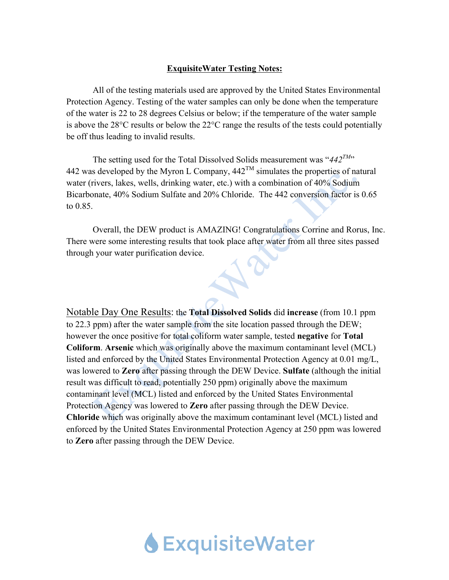#### **ExquisiteWater Testing Notes:**

All of the testing materials used are approved by the United States Environmental Protection Agency. Testing of the water samples can only be done when the temperature of the water is 22 to 28 degrees Celsius or below; if the temperature of the water sample is above the 28°C results or below the 22°C range the results of the tests could potentially be off thus leading to invalid results.

The setting used for the Total Dissolved Solids measurement was "442<sup>TM</sup>" 442 was developed by the Myron L Company,  $442^{TM}$  simulates the properties of natural water (rivers, lakes, wells, drinking water, etc.) with a combination of 40% Sodium Bicarbonate, 40% Sodium Sulfate and 20% Chloride. The 442 conversion factor is 0.65 to 0.85.

Overall, the DEW product is AMAZING! Congratulations Corrine and Rorus, Inc. There were some interesting results that took place after water from all three sites passed through your water purification device.

Notable Day One Results: the **Total Dissolved Solids** did **increase** (from 10.1 ppm to 22.3 ppm) after the water sample from the site location passed through the DEW; however the once positive for total coliform water sample, tested **negative** for **Total Coliform**. **Arsenic** which was originally above the maximum contaminant level (MCL) listed and enforced by the United States Environmental Protection Agency at 0.01 mg/L, was lowered to **Zero** after passing through the DEW Device. **Sulfate** (although the initial result was difficult to read, potentially 250 ppm) originally above the maximum contaminant level (MCL) listed and enforced by the United States Environmental Protection Agency was lowered to **Zero** after passing through the DEW Device. **Chloride** which was originally above the maximum contaminant level (MCL) listed and enforced by the United States Environmental Protection Agency at 250 ppm was lowered to **Zero** after passing through the DEW Device.